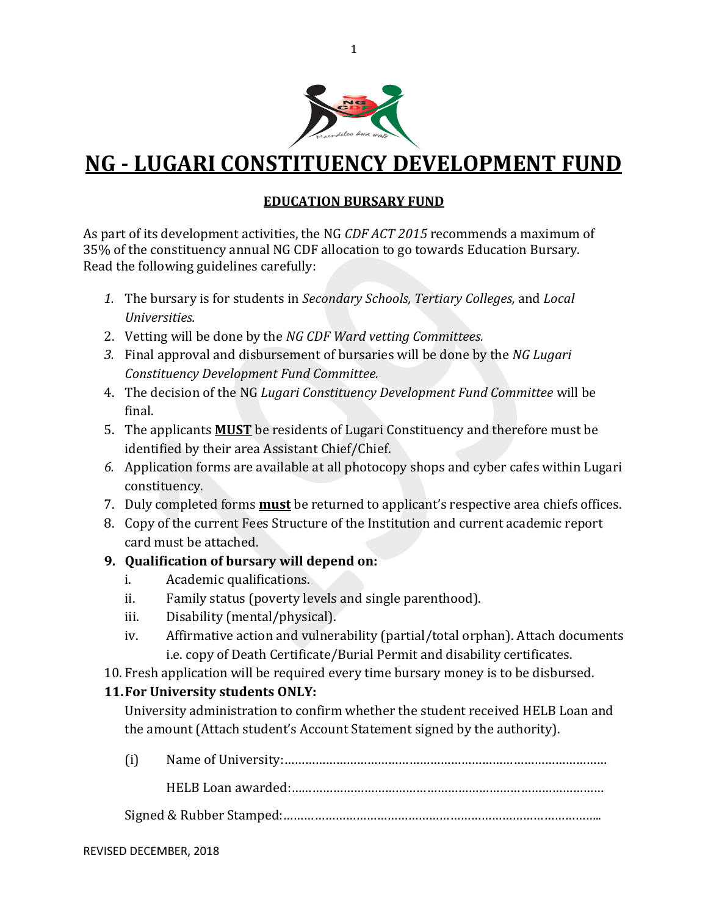

# **NG - LUGARI CONSTITUENCY DEVELOPMENT FUND**

## **EDUCATION BURSARY FUND**

As part of its development activities, the NG *CDF ACT 2015* recommends a maximum of 35% of the constituency annual NG CDF allocation to go towards Education Bursary. Read the following guidelines carefully:

- *1.* The bursary is for students in *Secondary Schools, Tertiary Colleges,* and *Local Universities.*
- 2. Vetting will be done by the *NG CDF Ward vetting Committees.*
- *3.* Final approval and disbursement of bursaries will be done by the *NG Lugari Constituency Development Fund Committee.*
- 4. The decision of the NG *Lugari Constituency Development Fund Committee* will be final.
- 5. The applicants **MUST** be residents of Lugari Constituency and therefore must be identified by their area Assistant Chief/Chief.
- *6.* Application forms are available at all photocopy shops and cyber cafes within Lugari constituency.
- 7. Duly completed forms **must** be returned to applicant's respective area chiefs offices.
- 8. Copy of the current Fees Structure of the Institution and current academic report card must be attached.

### **9. Qualification of bursary will depend on:**

- i. Academic qualifications.
- ii. Family status (poverty levels and single parenthood).
- iii. Disability (mental/physical).
- iv. Affirmative action and vulnerability (partial/total orphan). Attach documents i.e. copy of Death Certificate/Burial Permit and disability certificates.
- 10. Fresh application will be required every time bursary money is to be disbursed.

# **11.For University students ONLY:**

University administration to confirm whether the student received HELB Loan and the amount (Attach student's Account Statement signed by the authority).

(i) Name of University:…………………………………………………………………………………

HELB Loan awarded:………………………………………………………………………………

Signed & Rubber Stamped:………………………………………………………………………………..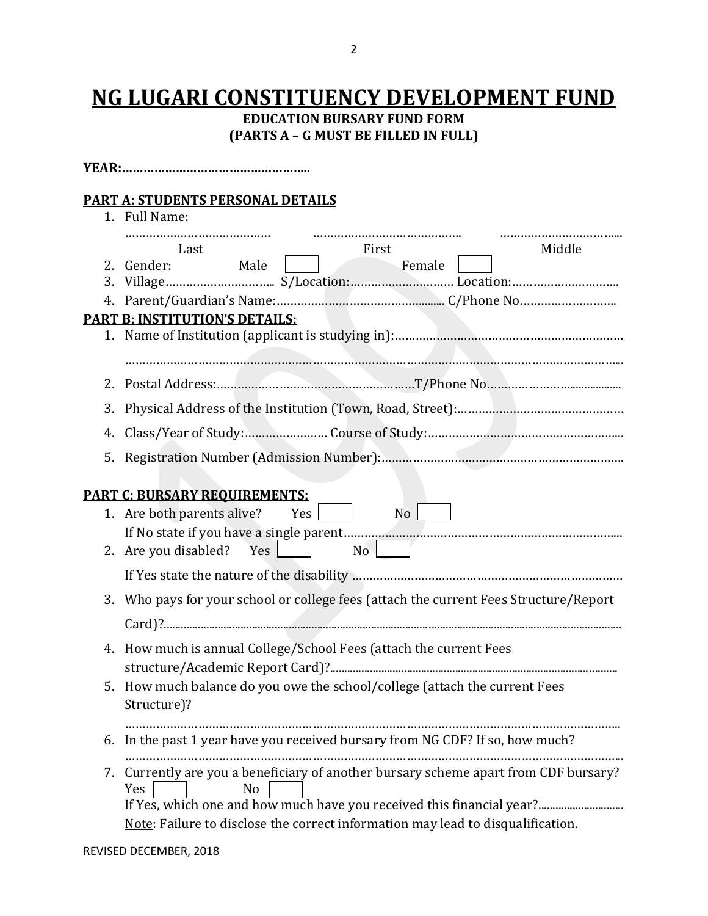# **NG LUGARI CONSTITUENCY DEVELOPMENT FUND**

**EDUCATION BURSARY FUND FORM (PARTS A – G MUST BE FILLED IN FULL)**

|    | <b>PART A: STUDENTS PERSONAL DETAILS</b><br>1. Full Name:                                                     |
|----|---------------------------------------------------------------------------------------------------------------|
|    | <br><br>Middle<br>Last<br>First                                                                               |
|    | Female<br>2. Gender:<br>Male                                                                                  |
| 3. |                                                                                                               |
|    | PART B: INSTITUTION'S DETAILS:                                                                                |
|    |                                                                                                               |
|    |                                                                                                               |
| 2. |                                                                                                               |
| 3. |                                                                                                               |
| 4. |                                                                                                               |
| 5. |                                                                                                               |
|    |                                                                                                               |
|    | <b>PART C: BURSARY REQUIREMENTS:</b>                                                                          |
|    | 1. Are both parents alive? Yes $\Box$                                                                         |
|    | No<br>Yes   I<br>2. Are you disabled?                                                                         |
|    |                                                                                                               |
| 3. | Who pays for your school or college fees (attach the current Fees Structure/Report                            |
|    |                                                                                                               |
|    |                                                                                                               |
| 4. | How much is annual College/School Fees (attach the current Fees<br>structure/Academic Report Card)?           |
|    | 5. How much balance do you owe the school/college (attach the current Fees                                    |
|    | Structure)?                                                                                                   |
| 6. | In the past 1 year have you received bursary from NG CDF? If so, how much?                                    |
|    |                                                                                                               |
|    | 7. Currently are you a beneficiary of another bursary scheme apart from CDF bursary?<br>Yes<br>N <sub>0</sub> |
|    | If Yes, which one and how much have you received this financial year?                                         |
|    | Note: Failure to disclose the correct information may lead to disqualification.                               |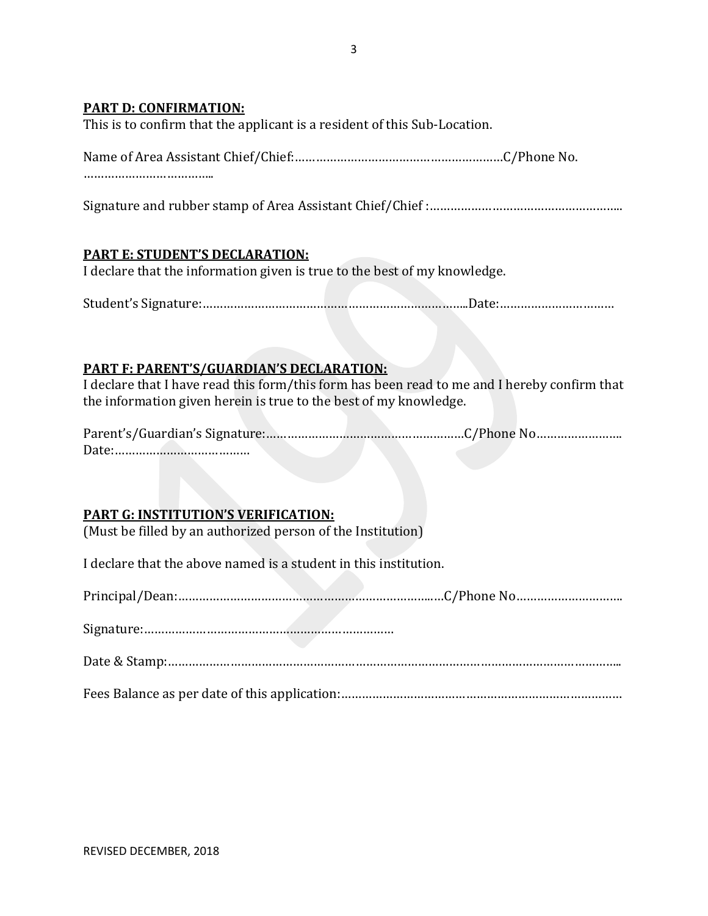#### **PART D: CONFIRMATION:**

This is to confirm that the applicant is a resident of this Sub-Location.

Signature and rubber stamp of Area Assistant Chief/Chief :………………………………………………..

#### **PART E: STUDENT'S DECLARATION:**

I declare that the information given is true to the best of my knowledge.

Student's Signature:…………………………………………………………………..Date:……………………………

#### **PART F: PARENT'S/GUARDIAN'S DECLARATION:**

I declare that I have read this form/this form has been read to me and I hereby confirm that the information given herein is true to the best of my knowledge.

Parent's/Guardian's Signature:…………………………………………………C/Phone No……………………. Date:…………………………………

#### **PART G: INSTITUTION'S VERIFICATION:**

(Must be filled by an authorized person of the Institution)

I declare that the above named is a student in this institution.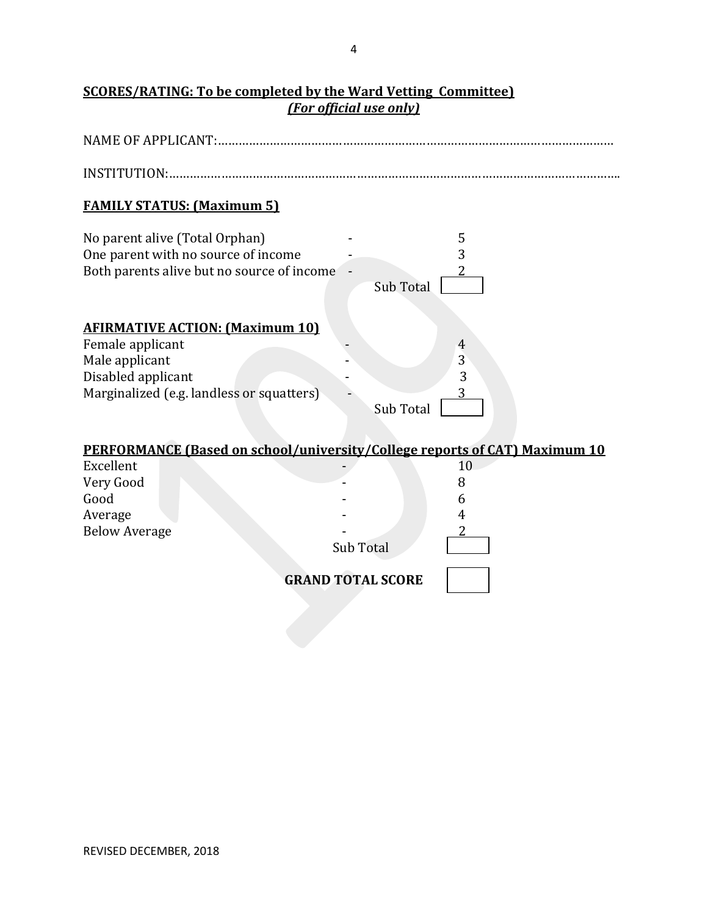## **SCORES/RATING: To be completed by the Ward Vetting Committee)** *(For official use only)*

| <b>NAME OF APPLICANT:</b>                                                                                                                       |                  |                                            |  |  |
|-------------------------------------------------------------------------------------------------------------------------------------------------|------------------|--------------------------------------------|--|--|
|                                                                                                                                                 |                  |                                            |  |  |
| <b>FAMILY STATUS: (Maximum 5)</b>                                                                                                               |                  |                                            |  |  |
| No parent alive (Total Orphan)<br>One parent with no source of income<br>Both parents alive but no source of income                             | Sub Total        | 5<br>3                                     |  |  |
| <b>AFIRMATIVE ACTION: (Maximum 10)</b><br>Female applicant<br>Male applicant<br>Disabled applicant<br>Marginalized (e.g. landless or squatters) | <b>Sub Total</b> | $\overline{4}$<br>$\overline{3}$<br>3<br>3 |  |  |
| PERFORMANCE (Based on school/university/College reports of CAT) Maximum 10                                                                      |                  |                                            |  |  |
| Excellent                                                                                                                                       |                  | 10                                         |  |  |
| Very Good                                                                                                                                       |                  | 8                                          |  |  |
| Good                                                                                                                                            |                  | 6                                          |  |  |
| Average<br><b>Below Average</b>                                                                                                                 |                  | 4                                          |  |  |
|                                                                                                                                                 | Sub Total        |                                            |  |  |
| <b>GRAND TOTAL SCORE</b>                                                                                                                        |                  |                                            |  |  |
|                                                                                                                                                 |                  |                                            |  |  |